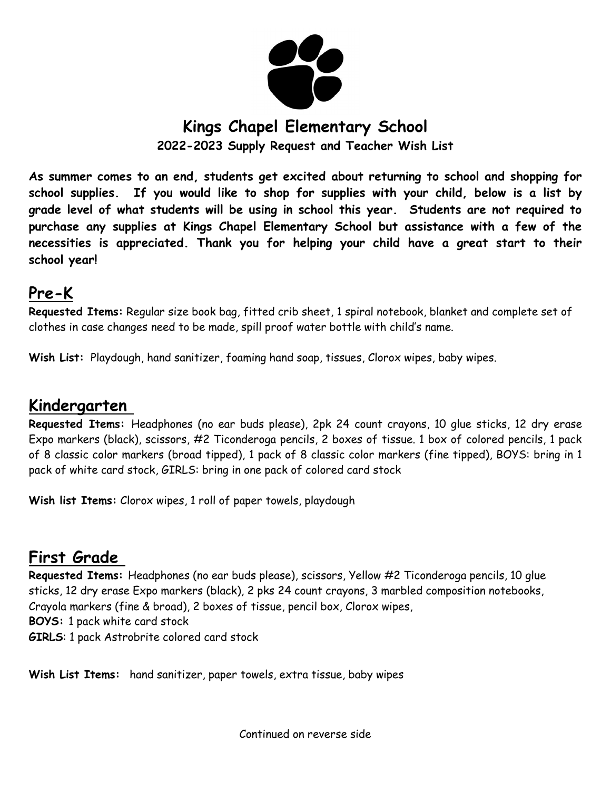

# **Kings Chapel Elementary School**

**2022-2023 Supply Request and Teacher Wish List**

**As summer comes to an end, students get excited about returning to school and shopping for school supplies. If you would like to shop for supplies with your child, below is a list by grade level of what students will be using in school this year. Students are not required to purchase any supplies at Kings Chapel Elementary School but assistance with a few of the necessities is appreciated. Thank you for helping your child have a great start to their school year!** 

### **Pre-K**

**Requested Items:** Regular size book bag, fitted crib sheet, 1 spiral notebook, blanket and complete set of clothes in case changes need to be made, spill proof water bottle with child's name.

**Wish List:** Playdough, hand sanitizer, foaming hand soap, tissues, Clorox wipes, baby wipes.

### **Kindergarten**

**Requested Items:** Headphones (no ear buds please), 2pk 24 count crayons, 10 glue sticks, 12 dry erase Expo markers (black), scissors, #2 Ticonderoga pencils, 2 boxes of tissue. 1 box of colored pencils, 1 pack of 8 classic color markers (broad tipped), 1 pack of 8 classic color markers (fine tipped), BOYS: bring in 1 pack of white card stock, GIRLS: bring in one pack of colored card stock

**Wish list Items:** Clorox wipes, 1 roll of paper towels, playdough

## **First Grade**

**Requested Items:** Headphones (no ear buds please), scissors, Yellow #2 Ticonderoga pencils, 10 glue sticks, 12 dry erase Expo markers (black), 2 pks 24 count crayons, 3 marbled composition notebooks, Crayola markers (fine & broad), 2 boxes of tissue, pencil box, Clorox wipes, **BOYS:** 1 pack white card stock **GIRLS**: 1 pack Astrobrite colored card stock

**Wish List Items:** hand sanitizer, paper towels, extra tissue, baby wipes

Continued on reverse side